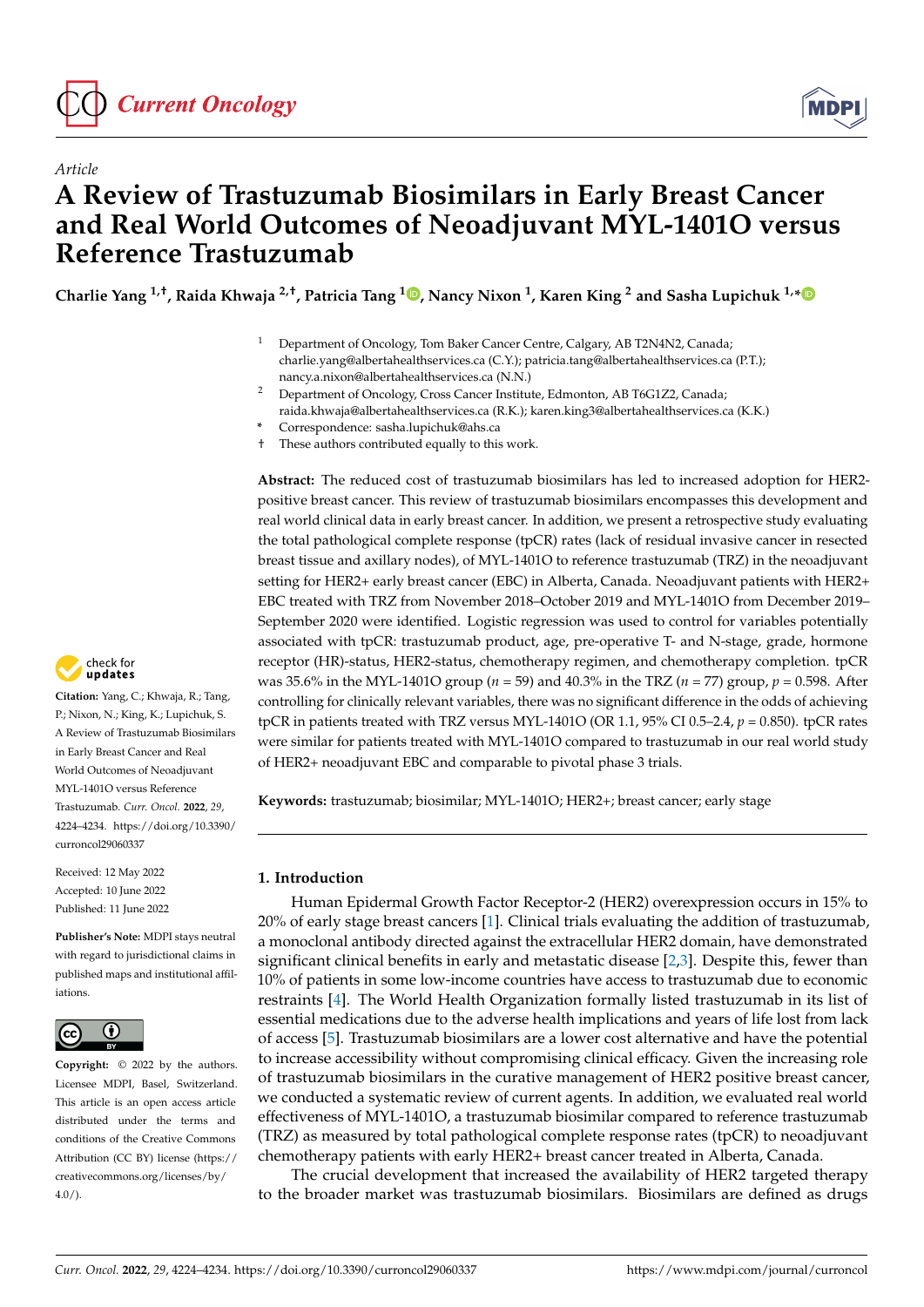

*Article*



# **A Review of Trastuzumab Biosimilars in Early Breast Cancer and Real World Outcomes of Neoadjuvant MYL-1401O versus Reference Trastuzumab**

**Charlie Yang 1,†, Raida Khwaja 2,†, Patricia Tang <sup>1</sup> [,](https://orcid.org/0000-0003-1497-8539) Nancy Nixon <sup>1</sup> , Karen King <sup>2</sup> and Sasha Lupichuk 1,[\\*](https://orcid.org/0000-0001-9545-0802)**

- <sup>1</sup> Department of Oncology, Tom Baker Cancer Centre, Calgary, AB T2N4N2, Canada; charlie.yang@albertahealthservices.ca (C.Y.); patricia.tang@albertahealthservices.ca (P.T.); nancy.a.nixon@albertahealthservices.ca (N.N.)
- <sup>2</sup> Department of Oncology, Cross Cancer Institute, Edmonton, AB T6G1Z2, Canada; raida.khwaja@albertahealthservices.ca (R.K.); karen.king3@albertahealthservices.ca (K.K.)

† These authors contributed equally to this work.

**Abstract:** The reduced cost of trastuzumab biosimilars has led to increased adoption for HER2 positive breast cancer. This review of trastuzumab biosimilars encompasses this development and real world clinical data in early breast cancer. In addition, we present a retrospective study evaluating the total pathological complete response (tpCR) rates (lack of residual invasive cancer in resected breast tissue and axillary nodes), of MYL-1401O to reference trastuzumab (TRZ) in the neoadjuvant setting for HER2+ early breast cancer (EBC) in Alberta, Canada. Neoadjuvant patients with HER2+ EBC treated with TRZ from November 2018–October 2019 and MYL-1401O from December 2019– September 2020 were identified. Logistic regression was used to control for variables potentially associated with tpCR: trastuzumab product, age, pre-operative T- and N-stage, grade, hormone receptor (HR)-status, HER2-status, chemotherapy regimen, and chemotherapy completion. tpCR was 35.6% in the MYL-1401O group (*n* = 59) and 40.3% in the TRZ (*n* = 77) group, *p* = 0.598. After controlling for clinically relevant variables, there was no significant difference in the odds of achieving tpCR in patients treated with TRZ versus MYL-1401O (OR 1.1, 95% CI 0.5–2.4, *p* = 0.850). tpCR rates were similar for patients treated with MYL-1401O compared to trastuzumab in our real world study of HER2+ neoadjuvant EBC and comparable to pivotal phase 3 trials.

**Keywords:** trastuzumab; biosimilar; MYL-1401O; HER2+; breast cancer; early stage

# **1. Introduction**

Human Epidermal Growth Factor Receptor-2 (HER2) overexpression occurs in 15% to 20% of early stage breast cancers [\[1\]](#page-7-0). Clinical trials evaluating the addition of trastuzumab, a monoclonal antibody directed against the extracellular HER2 domain, have demonstrated significant clinical benefits in early and metastatic disease [\[2](#page-7-1)[,3\]](#page-7-2). Despite this, fewer than 10% of patients in some low-income countries have access to trastuzumab due to economic restraints [\[4\]](#page-7-3). The World Health Organization formally listed trastuzumab in its list of essential medications due to the adverse health implications and years of life lost from lack of access [\[5\]](#page-7-4). Trastuzumab biosimilars are a lower cost alternative and have the potential to increase accessibility without compromising clinical efficacy. Given the increasing role of trastuzumab biosimilars in the curative management of HER2 positive breast cancer, we conducted a systematic review of current agents. In addition, we evaluated real world effectiveness of MYL-1401O, a trastuzumab biosimilar compared to reference trastuzumab (TRZ) as measured by total pathological complete response rates (tpCR) to neoadjuvant chemotherapy patients with early HER2+ breast cancer treated in Alberta, Canada.

The crucial development that increased the availability of HER2 targeted therapy to the broader market was trastuzumab biosimilars. Biosimilars are defined as drugs



**Citation:** Yang, C.; Khwaja, R.; Tang, P.; Nixon, N.; King, K.; Lupichuk, S. A Review of Trastuzumab Biosimilars in Early Breast Cancer and Real World Outcomes of Neoadjuvant MYL-1401O versus Reference Trastuzumab. *Curr. Oncol.* **2022**, *29*, 4224–4234. [https://doi.org/10.3390/](https://doi.org/10.3390/curroncol29060337) [curroncol29060337](https://doi.org/10.3390/curroncol29060337)

Received: 12 May 2022 Accepted: 10 June 2022 Published: 11 June 2022

**Publisher's Note:** MDPI stays neutral with regard to jurisdictional claims in published maps and institutional affiliations.



**Copyright:** © 2022 by the authors. Licensee MDPI, Basel, Switzerland. This article is an open access article distributed under the terms and conditions of the Creative Commons Attribution (CC BY) license [\(https://](https://creativecommons.org/licenses/by/4.0/) [creativecommons.org/licenses/by/](https://creativecommons.org/licenses/by/4.0/)  $4.0/$ ).

**<sup>\*</sup>** Correspondence: sasha.lupichuk@ahs.ca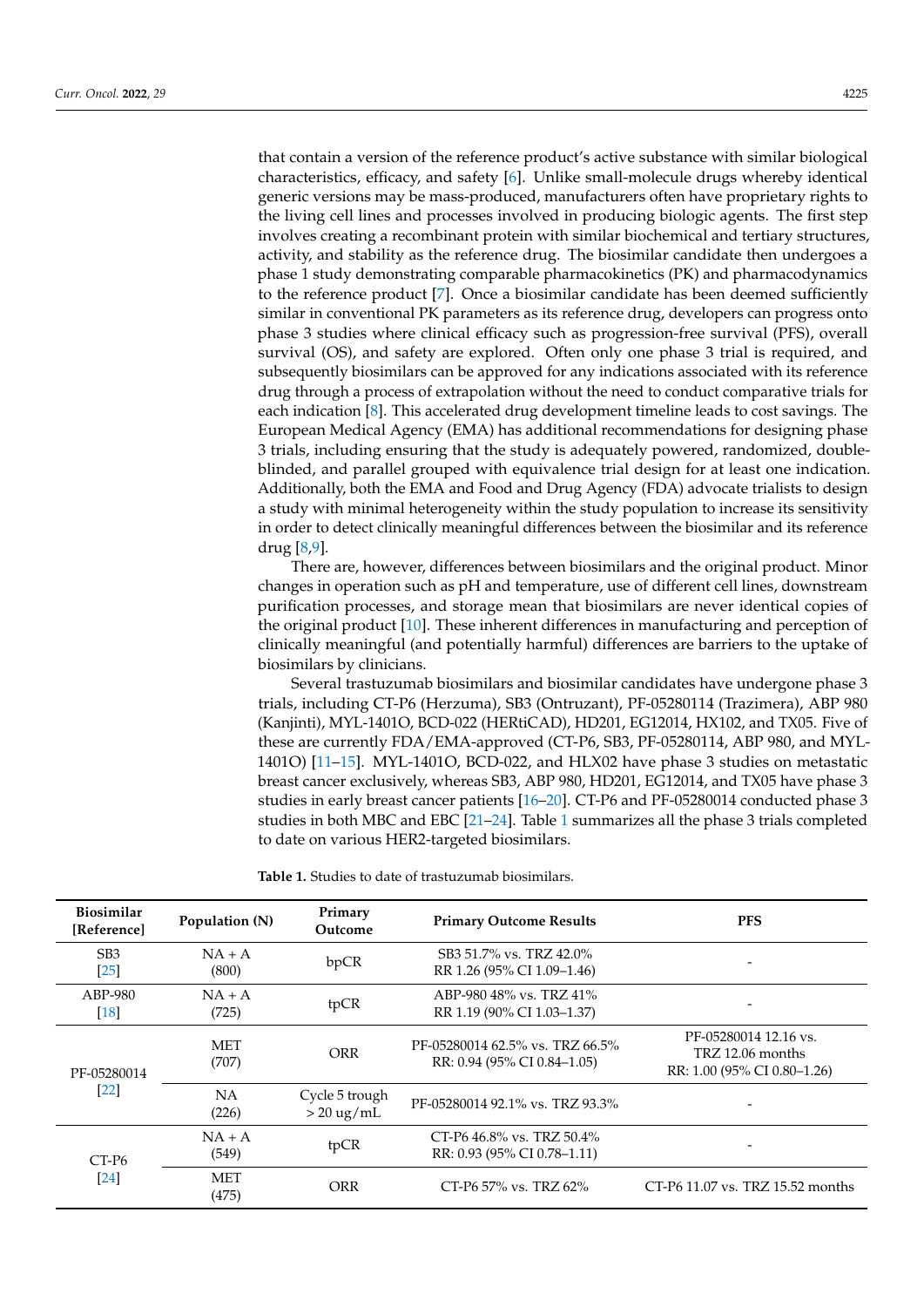that contain a version of the reference product's active substance with similar biological characteristics, efficacy, and safety [\[6\]](#page-7-5). Unlike small-molecule drugs whereby identical generic versions may be mass-produced, manufacturers often have proprietary rights to the living cell lines and processes involved in producing biologic agents. The first step involves creating a recombinant protein with similar biochemical and tertiary structures, activity, and stability as the reference drug. The biosimilar candidate then undergoes a phase 1 study demonstrating comparable pharmacokinetics (PK) and pharmacodynamics to the reference product [\[7\]](#page-7-6). Once a biosimilar candidate has been deemed sufficiently similar in conventional PK parameters as its reference drug, developers can progress onto phase 3 studies where clinical efficacy such as progression-free survival (PFS), overall survival (OS), and safety are explored. Often only one phase 3 trial is required, and subsequently biosimilars can be approved for any indications associated with its reference drug through a process of extrapolation without the need to conduct comparative trials for each indication [\[8\]](#page-7-7). This accelerated drug development timeline leads to cost savings. The European Medical Agency (EMA) has additional recommendations for designing phase 3 trials, including ensuring that the study is adequately powered, randomized, doubleblinded, and parallel grouped with equivalence trial design for at least one indication. Additionally, both the EMA and Food and Drug Agency (FDA) advocate trialists to design a study with minimal heterogeneity within the study population to increase its sensitivity in order to detect clinically meaningful differences between the biosimilar and its reference drug [\[8,](#page-7-7)[9\]](#page-7-8).

There are, however, differences between biosimilars and the original product. Minor changes in operation such as pH and temperature, use of different cell lines, downstream purification processes, and storage mean that biosimilars are never identical copies of the original product [\[10\]](#page-7-9). These inherent differences in manufacturing and perception of clinically meaningful (and potentially harmful) differences are barriers to the uptake of biosimilars by clinicians.

Several trastuzumab biosimilars and biosimilar candidates have undergone phase 3 trials, including CT-P6 (Herzuma), SB3 (Ontruzant), PF-05280114 (Trazimera), ABP 980 (Kanjinti), MYL-1401O, BCD-022 (HERtiCAD), HD201, EG12014, HX102, and TX05. Five of these are currently FDA/EMA-approved (CT-P6, SB3, PF-05280114, ABP 980, and MYL-1401O) [\[11](#page-7-10)[–15\]](#page-8-0). MYL-1401O, BCD-022, and HLX02 have phase 3 studies on metastatic breast cancer exclusively, whereas SB3, ABP 980, HD201, EG12014, and TX05 have phase 3 studies in early breast cancer patients [\[16](#page-8-1)[–20\]](#page-8-2). CT-P6 and PF-05280014 conducted phase 3 studies in both MBC and EBC [\[21](#page-8-3)[–24\]](#page-8-4). Table [1](#page-1-0) summarizes all the phase 3 trials completed to date on various HER2-targeted biosimilars.

<span id="page-1-0"></span>**Table 1.** Studies to date of trastuzumab biosimilars.

| <b>Biosimilar</b><br>[Reference] | Population (N)      | Primary<br>Outcome                     | <b>Primary Outcome Results</b>                                 | <b>PFS</b>                                                               |
|----------------------------------|---------------------|----------------------------------------|----------------------------------------------------------------|--------------------------------------------------------------------------|
| SB <sub>3</sub><br>$[25]$        | $NA + A$<br>(800)   | bpCR                                   | SB3 51.7% vs. TRZ 42.0%<br>RR 1.26 (95% CI 1.09-1.46)          |                                                                          |
| ABP-980<br>$[18]$                | $NA + A$<br>(725)   | tpCR                                   | ABP-980 48% vs. TRZ 41%<br>RR 1.19 (90% CI 1.03-1.37)          |                                                                          |
| PF-05280014<br>$[22]$            | <b>MET</b><br>(707) | <b>ORR</b>                             | PF-05280014 62.5% vs. TRZ 66.5%<br>RR: 0.94 (95% CI 0.84–1.05) | PF-05280014 12.16 vs.<br>TRZ 12.06 months<br>RR: 1.00 (95% CI 0.80-1.26) |
|                                  | NA<br>(226)         | Cycle 5 trough<br>$> 20 \text{ ug/mL}$ | PF-05280014 92.1% vs. TRZ 93.3%                                |                                                                          |
| $CT-P6$<br>[24]                  | $NA + A$<br>(549)   | tpCR                                   | CT-P6 46.8% vs. TRZ 50.4%<br>RR: 0.93 (95% CI 0.78–1.11)       |                                                                          |
|                                  | <b>MET</b><br>(475) | ORR                                    | CT-P6 57% vs. TRZ 62%                                          | CT-P6 11.07 vs. TRZ 15.52 months                                         |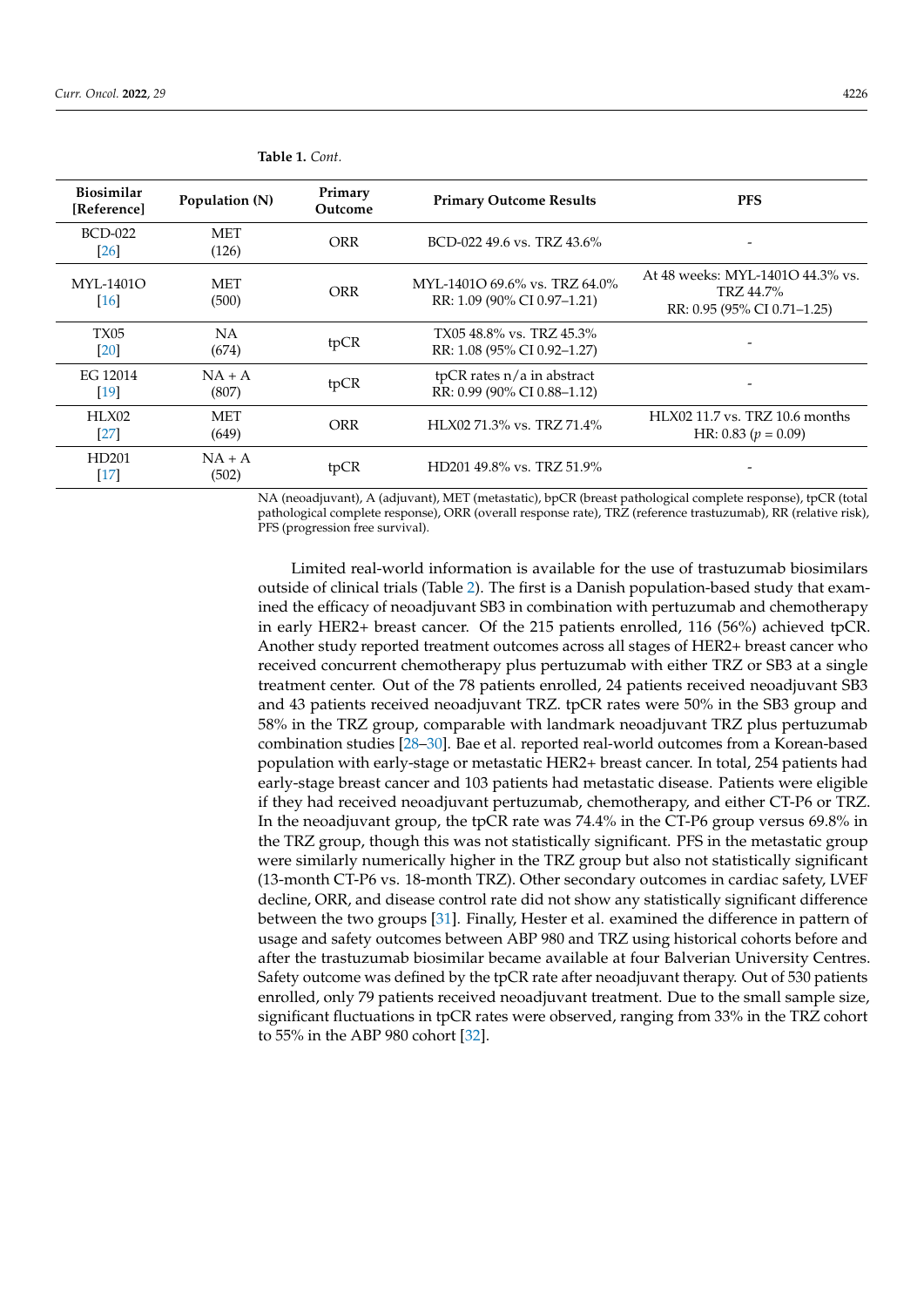| <b>Biosimilar</b><br>[Reference] | Population (N)      | Primary<br>Outcome | <b>Primary Outcome Results</b>                               | <b>PFS</b>                                                                   |
|----------------------------------|---------------------|--------------------|--------------------------------------------------------------|------------------------------------------------------------------------------|
| <b>BCD-022</b><br>[26]           | <b>MET</b><br>(126) | ORR                | BCD-022 49.6 vs. TRZ 43.6%                                   |                                                                              |
| MYL-1401O<br>[16]                | <b>MET</b><br>(500) | <b>ORR</b>         | MYL-1401O 69.6% vs. TRZ 64.0%<br>RR: 1.09 (90% CI 0.97-1.21) | At 48 weeks: MYL-1401O 44.3% vs.<br>TRZ 44.7%<br>RR: 0.95 (95% CI 0.71-1.25) |
| TX05<br>[20]                     | NA.<br>(674)        | tpCR               | TX0548.8% vs. TRZ45.3%<br>RR: 1.08 (95% CI 0.92–1.27)        |                                                                              |
| EG 12014<br>[19]                 | $NA + A$<br>(807)   | tpCR               | tpCR rates $n/a$ in abstract<br>RR: 0.99 (90% CI 0.88-1.12)  |                                                                              |
| HLX02<br>[27]                    | MET<br>(649)        | <b>ORR</b>         | HLX02 71.3% vs. TRZ 71.4%                                    | $HLX02$ 11.7 vs. TRZ 10.6 months<br>HR: 0.83 ( $p = 0.09$ )                  |
| HD201<br>$[17]$                  | $NA + A$<br>(502)   | tpCR               | HD201 49.8% vs. TRZ 51.9%                                    |                                                                              |

**Table 1.** *Cont.*

NA (neoadjuvant), A (adjuvant), MET (metastatic), bpCR (breast pathological complete response), tpCR (total pathological complete response), ORR (overall response rate), TRZ (reference trastuzumab), RR (relative risk), PFS (progression free survival).

Limited real-world information is available for the use of trastuzumab biosimilars outside of clinical trials (Table [2\)](#page-3-0). The first is a Danish population-based study that examined the efficacy of neoadjuvant SB3 in combination with pertuzumab and chemotherapy in early HER2+ breast cancer. Of the 215 patients enrolled, 116 (56%) achieved tpCR. Another study reported treatment outcomes across all stages of HER2+ breast cancer who received concurrent chemotherapy plus pertuzumab with either TRZ or SB3 at a single treatment center. Out of the 78 patients enrolled, 24 patients received neoadjuvant SB3 and 43 patients received neoadjuvant TRZ. tpCR rates were 50% in the SB3 group and 58% in the TRZ group, comparable with landmark neoadjuvant TRZ plus pertuzumab combination studies [\[28](#page-8-12)[–30\]](#page-8-13). Bae et al. reported real-world outcomes from a Korean-based population with early-stage or metastatic HER2+ breast cancer. In total, 254 patients had early-stage breast cancer and 103 patients had metastatic disease. Patients were eligible if they had received neoadjuvant pertuzumab, chemotherapy, and either CT-P6 or TRZ. In the neoadjuvant group, the tpCR rate was 74.4% in the CT-P6 group versus 69.8% in the TRZ group, though this was not statistically significant. PFS in the metastatic group were similarly numerically higher in the TRZ group but also not statistically significant (13-month CT-P6 vs. 18-month TRZ). Other secondary outcomes in cardiac safety, LVEF decline, ORR, and disease control rate did not show any statistically significant difference between the two groups [\[31\]](#page-9-0). Finally, Hester et al. examined the difference in pattern of usage and safety outcomes between ABP 980 and TRZ using historical cohorts before and after the trastuzumab biosimilar became available at four Balverian University Centres. Safety outcome was defined by the tpCR rate after neoadjuvant therapy. Out of 530 patients enrolled, only 79 patients received neoadjuvant treatment. Due to the small sample size, significant fluctuations in tpCR rates were observed, ranging from 33% in the TRZ cohort to 55% in the ABP 980 cohort [\[32\]](#page-9-1).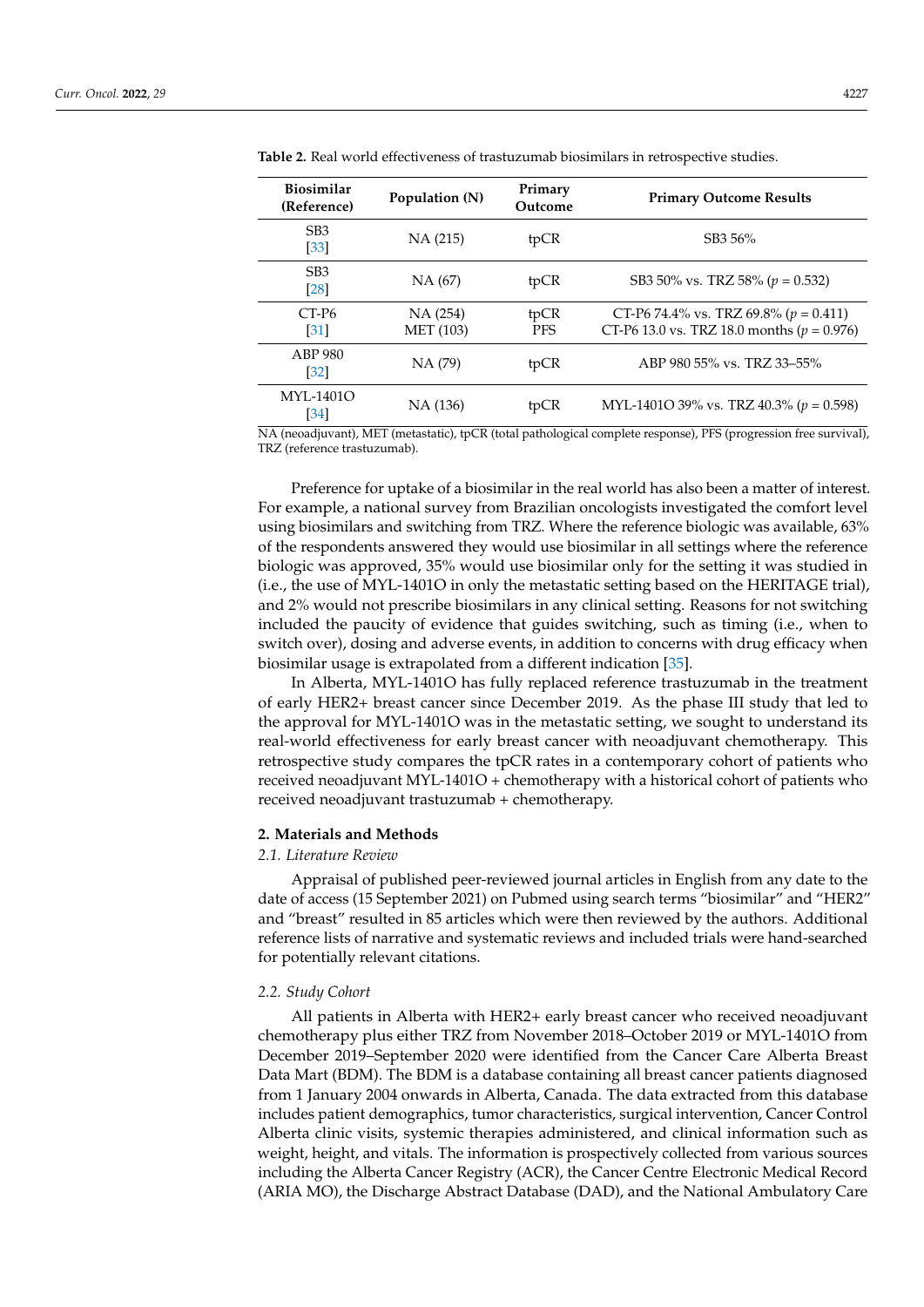| <b>Biosimilar</b><br>(Reference)        | Population (N)               | Primary<br>Outcome | <b>Primary Outcome Results</b>                                                              |
|-----------------------------------------|------------------------------|--------------------|---------------------------------------------------------------------------------------------|
| SB <sub>3</sub><br>$[33]$               | NA (215)                     | tpCR               | SB3 56%                                                                                     |
| SB <sub>3</sub><br>[28]                 | NA (67)                      | tpCR               | SB3 50% vs. TRZ 58% ( $p = 0.532$ )                                                         |
| CT-P <sub>6</sub><br>$\lceil 31 \rceil$ | NA (254)<br><b>MET</b> (103) | tpCR<br><b>PFS</b> | CT-P6 74.4% vs. TRZ 69.8% ( $p = 0.411$ )<br>CT-P6 13.0 vs. TRZ 18.0 months ( $p = 0.976$ ) |
| ABP 980<br>$\left[32\right]$            | NA (79)                      | tpCR               | ABP 980 55% vs. TRZ 33-55%                                                                  |
| MYL-1401O<br>[34]                       | NA (136)                     | tpCR               | MYL-1401O 39% vs. TRZ 40.3% ( $p = 0.598$ )                                                 |

<span id="page-3-0"></span>**Table 2.** Real world effectiveness of trastuzumab biosimilars in retrospective studies.

NA (neoadjuvant), MET (metastatic), tpCR (total pathological complete response), PFS (progression free survival), TRZ (reference trastuzumab).

Preference for uptake of a biosimilar in the real world has also been a matter of interest. For example, a national survey from Brazilian oncologists investigated the comfort level using biosimilars and switching from TRZ. Where the reference biologic was available, 63% of the respondents answered they would use biosimilar in all settings where the reference biologic was approved, 35% would use biosimilar only for the setting it was studied in (i.e., the use of MYL-1401O in only the metastatic setting based on the HERITAGE trial), and 2% would not prescribe biosimilars in any clinical setting. Reasons for not switching included the paucity of evidence that guides switching, such as timing (i.e., when to switch over), dosing and adverse events, in addition to concerns with drug efficacy when biosimilar usage is extrapolated from a different indication [\[35\]](#page-9-4).

In Alberta, MYL-1401O has fully replaced reference trastuzumab in the treatment of early HER2+ breast cancer since December 2019. As the phase III study that led to the approval for MYL-1401O was in the metastatic setting, we sought to understand its real-world effectiveness for early breast cancer with neoadjuvant chemotherapy. This retrospective study compares the tpCR rates in a contemporary cohort of patients who received neoadjuvant MYL-1401O + chemotherapy with a historical cohort of patients who received neoadjuvant trastuzumab + chemotherapy.

#### **2. Materials and Methods**

## *2.1. Literature Review*

Appraisal of published peer-reviewed journal articles in English from any date to the date of access (15 September 2021) on Pubmed using search terms "biosimilar" and "HER2" and "breast" resulted in 85 articles which were then reviewed by the authors. Additional reference lists of narrative and systematic reviews and included trials were hand-searched for potentially relevant citations.

# *2.2. Study Cohort*

All patients in Alberta with HER2+ early breast cancer who received neoadjuvant chemotherapy plus either TRZ from November 2018–October 2019 or MYL-1401O from December 2019–September 2020 were identified from the Cancer Care Alberta Breast Data Mart (BDM). The BDM is a database containing all breast cancer patients diagnosed from 1 January 2004 onwards in Alberta, Canada. The data extracted from this database includes patient demographics, tumor characteristics, surgical intervention, Cancer Control Alberta clinic visits, systemic therapies administered, and clinical information such as weight, height, and vitals. The information is prospectively collected from various sources including the Alberta Cancer Registry (ACR), the Cancer Centre Electronic Medical Record (ARIA MO), the Discharge Abstract Database (DAD), and the National Ambulatory Care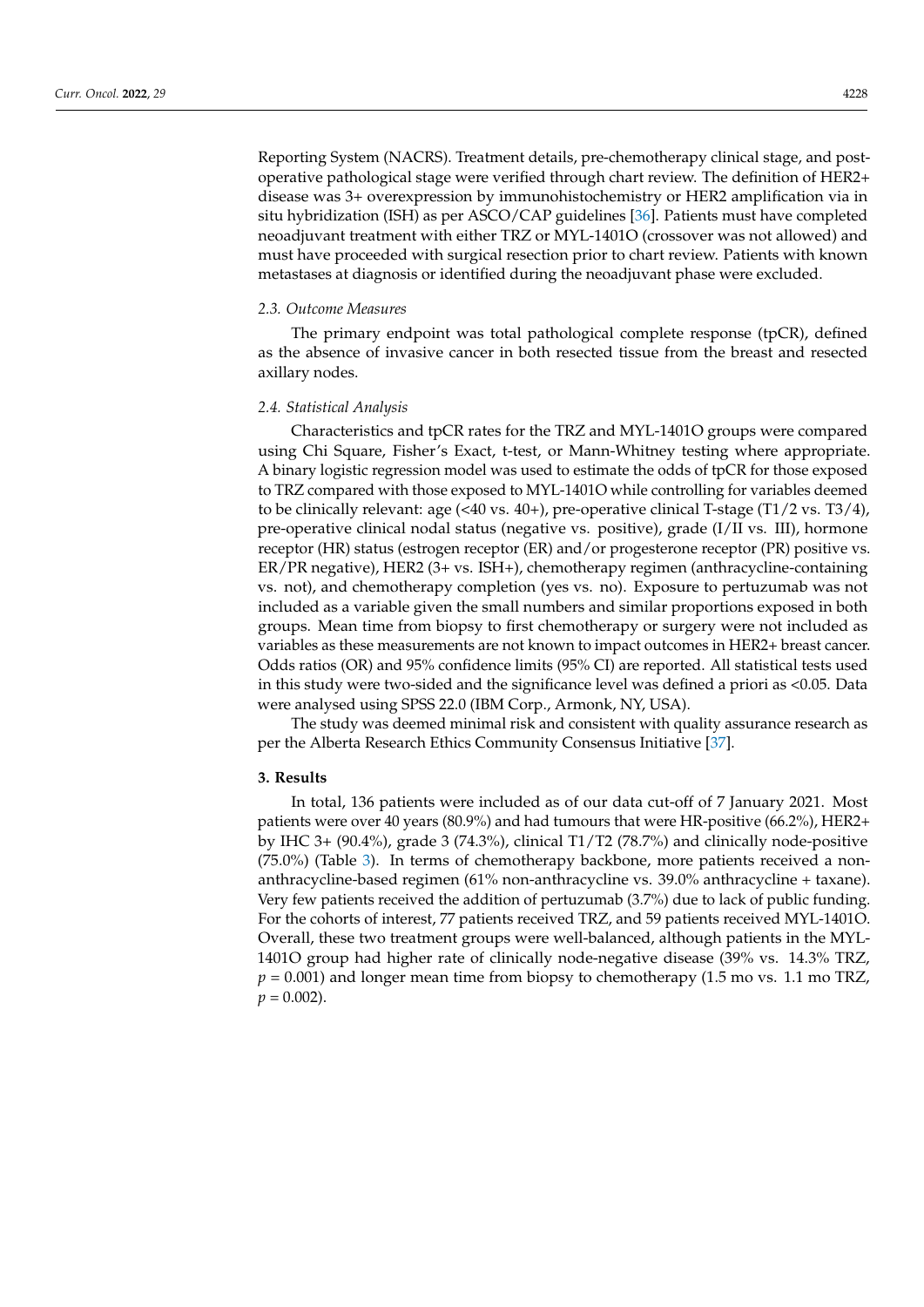Reporting System (NACRS). Treatment details, pre-chemotherapy clinical stage, and postoperative pathological stage were verified through chart review. The definition of HER2+ disease was 3+ overexpression by immunohistochemistry or HER2 amplification via in situ hybridization (ISH) as per ASCO/CAP guidelines [\[36\]](#page-9-5). Patients must have completed neoadjuvant treatment with either TRZ or MYL-1401O (crossover was not allowed) and must have proceeded with surgical resection prior to chart review. Patients with known metastases at diagnosis or identified during the neoadjuvant phase were excluded.

#### *2.3. Outcome Measures*

The primary endpoint was total pathological complete response (tpCR), defined as the absence of invasive cancer in both resected tissue from the breast and resected axillary nodes.

#### *2.4. Statistical Analysis*

Characteristics and tpCR rates for the TRZ and MYL-1401O groups were compared using Chi Square, Fisher's Exact, t-test, or Mann-Whitney testing where appropriate. A binary logistic regression model was used to estimate the odds of tpCR for those exposed to TRZ compared with those exposed to MYL-1401O while controlling for variables deemed to be clinically relevant: age (<40 vs. 40+), pre-operative clinical T-stage (T1/2 vs. T3/4), pre-operative clinical nodal status (negative vs. positive), grade (I/II vs. III), hormone receptor (HR) status (estrogen receptor (ER) and/or progesterone receptor (PR) positive vs. ER/PR negative), HER2 (3+ vs. ISH+), chemotherapy regimen (anthracycline-containing vs. not), and chemotherapy completion (yes vs. no). Exposure to pertuzumab was not included as a variable given the small numbers and similar proportions exposed in both groups. Mean time from biopsy to first chemotherapy or surgery were not included as variables as these measurements are not known to impact outcomes in HER2+ breast cancer. Odds ratios (OR) and 95% confidence limits (95% CI) are reported. All statistical tests used in this study were two-sided and the significance level was defined a priori as <0.05. Data were analysed using SPSS 22.0 (IBM Corp., Armonk, NY, USA).

The study was deemed minimal risk and consistent with quality assurance research as per the Alberta Research Ethics Community Consensus Initiative [\[37\]](#page-9-6).

#### **3. Results**

In total, 136 patients were included as of our data cut-off of 7 January 2021. Most patients were over 40 years (80.9%) and had tumours that were HR-positive (66.2%), HER2+ by IHC 3+ (90.4%), grade 3 (74.3%), clinical T1/T2 (78.7%) and clinically node-positive (75.0%) (Table [3\)](#page-5-0). In terms of chemotherapy backbone, more patients received a nonanthracycline-based regimen (61% non-anthracycline vs. 39.0% anthracycline + taxane). Very few patients received the addition of pertuzumab (3.7%) due to lack of public funding. For the cohorts of interest, 77 patients received TRZ, and 59 patients received MYL-1401O. Overall, these two treatment groups were well-balanced, although patients in the MYL-1401O group had higher rate of clinically node-negative disease (39% vs. 14.3% TRZ,  $p = 0.001$ ) and longer mean time from biopsy to chemotherapy (1.5 mo vs. 1.1 mo TRZ,  $p = 0.002$ ).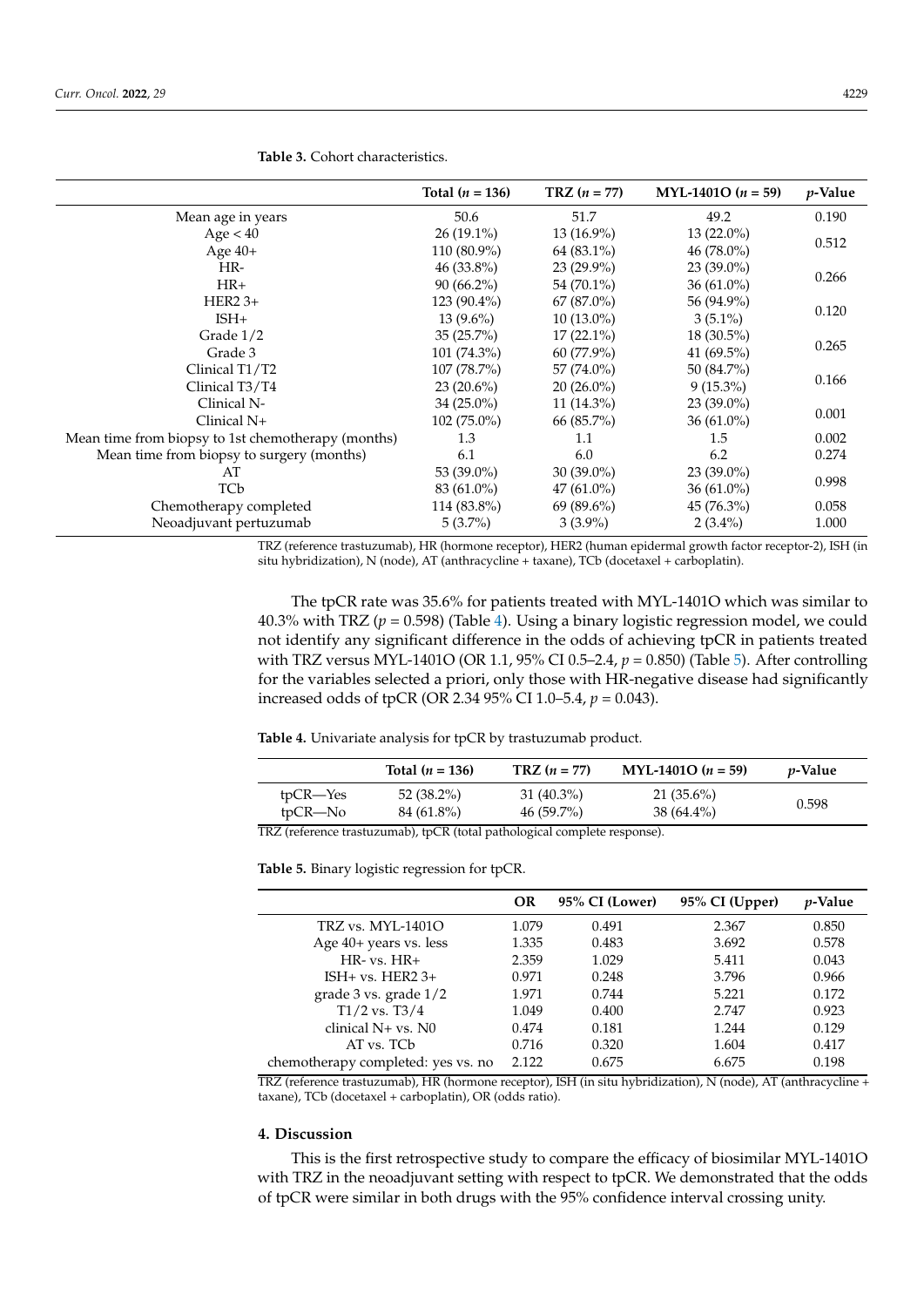|                                                    | Total $(n = 136)$ | $TRZ (n = 77)$ | MYL-1401O $(n = 59)$ | $p$ -Value |  |
|----------------------------------------------------|-------------------|----------------|----------------------|------------|--|
| Mean age in years                                  | 50.6              | 51.7           | 49.2                 | 0.190      |  |
| Age < 40                                           | $26(19.1\%)$      | $13(16.9\%)$   | $13(22.0\%)$         |            |  |
| Age 40+                                            | 110 (80.9%)       | 64 (83.1%)     | $46(78.0\%)$         | 0.512      |  |
| HR-                                                | $46(33.8\%)$      | $23(29.9\%)$   | $23(39.0\%)$         |            |  |
| $HR+$                                              | $90(66.2\%)$      | 54 (70.1%)     | $36(61.0\%)$         | 0.266      |  |
| $HER2$ 3+                                          | $123(90.4\%)$     | $67 (87.0\%)$  | 56 (94.9%)           | 0.120      |  |
| $ISH+$                                             | $13(9.6\%)$       | $10(13.0\%)$   | $3(5.1\%)$           |            |  |
| Grade $1/2$                                        | $35(25.7\%)$      | $17(22.1\%)$   | $18(30.5\%)$         |            |  |
| Grade 3                                            | $101 (74.3\%)$    | $60(77.9\%)$   | 41 $(69.5\%)$        | 0.265      |  |
| Clinical T1/T2                                     | $107(78.7\%)$     | 57 $(74.0\%)$  | 50 (84.7%)           | 0.166      |  |
| Clinical T3/T4                                     | $23(20.6\%)$      | $20(26.0\%)$   | $9(15.3\%)$          |            |  |
| Clinical N-                                        | $34(25.0\%)$      | $11(14.3\%)$   | $23(39.0\%)$         |            |  |
| Clinical N+                                        | $102(75.0\%)$     | 66 (85.7%)     | $36(61.0\%)$         | 0.001      |  |
| Mean time from biopsy to 1st chemotherapy (months) | 1.3               | 1.1            | 1.5                  | 0.002      |  |
| Mean time from biopsy to surgery (months)          | 6.1               | 6.0            | 6.2                  | 0.274      |  |
| AT                                                 | 53 (39.0%)        | $30(39.0\%)$   | $23(39.0\%)$         |            |  |
| TCb                                                | 83 (61.0%)        | $47(61.0\%)$   | 36 $(61.0\%)$        | 0.998      |  |
| Chemotherapy completed                             | 114 (83.8%)       | $69(89.6\%)$   | 45 (76.3%)           | 0.058      |  |
| Neoadjuvant pertuzumab                             | $5(3.7\%)$        | $3(3.9\%)$     | $2(3.4\%)$           | 1.000      |  |

<span id="page-5-0"></span>**Table 3.** Cohort characteristics.

TRZ (reference trastuzumab), HR (hormone receptor), HER2 (human epidermal growth factor receptor-2), ISH (in situ hybridization), N (node), AT (anthracycline + taxane), TCb (docetaxel + carboplatin).

The tpCR rate was 35.6% for patients treated with MYL-1401O which was similar to 40.3% with TRZ (*p* = 0.598) (Table [4\)](#page-5-1). Using a binary logistic regression model, we could not identify any significant difference in the odds of achieving tpCR in patients treated with TRZ versus MYL-1401O (OR 1.1, 95% CI 0.5–2.4, *p* = 0.850) (Table [5\)](#page-5-2). After controlling for the variables selected a priori, only those with HR-negative disease had significantly increased odds of tpCR (OR 2.34 95% CI 1.0–5.4, *p* = 0.043).

#### <span id="page-5-1"></span>**Table 4.** Univariate analysis for tpCR by trastuzumab product.

|          | Total $(n = 136)$ | $TRZ (n = 77)$ | $MYL-1401O (n = 59)$ | <i>p</i> -Value |
|----------|-------------------|----------------|----------------------|-----------------|
| tpCR—Yes | $52(38.2\%)$      | $31(40.3\%)$   | $21(35.6\%)$         |                 |
| tpCR—No  | 84 (61.8%)        | $46(59.7\%)$   | $38(64.4\%)$         | 0.598           |

TRZ (reference trastuzumab), tpCR (total pathological complete response).

<span id="page-5-2"></span>**Table 5.** Binary logistic regression for tpCR.

|                                    | OR    | 95% CI (Lower) | 95% CI (Upper) | <i>p</i> -Value |
|------------------------------------|-------|----------------|----------------|-----------------|
| TRZ vs. MYL-1401O                  | 1.079 | 0.491          | 2.367          | 0.850           |
| Age 40+ years vs. less             | 1.335 | 0.483          | 3.692          | 0.578           |
| $HR- vs. HR+$                      | 2.359 | 1.029          | 5.411          | 0.043           |
| ISH $+$ vs. HER2 3 $+$             | 0.971 | 0.248          | 3.796          | 0.966           |
| grade $3 \text{ vs. grade } 1/2$   | 1.971 | 0.744          | 5.221          | 0.172           |
| $T1/2$ vs. $T3/4$                  | 1.049 | 0.400          | 2.747          | 0.923           |
| clinical $N+vs. N0$                | 0.474 | 0.181          | 1.244          | 0.129           |
| AT vs. TCb                         | 0.716 | 0.320          | 1.604          | 0.417           |
| chemotherapy completed: yes vs. no | 2.122 | 0.675          | 6.675          | 0.198           |

TRZ (reference trastuzumab), HR (hormone receptor), ISH (in situ hybridization), N (node), AT (anthracycline + taxane), TCb (docetaxel + carboplatin), OR (odds ratio).

## **4. Discussion**

This is the first retrospective study to compare the efficacy of biosimilar MYL-1401O with TRZ in the neoadjuvant setting with respect to tpCR. We demonstrated that the odds of tpCR were similar in both drugs with the 95% confidence interval crossing unity.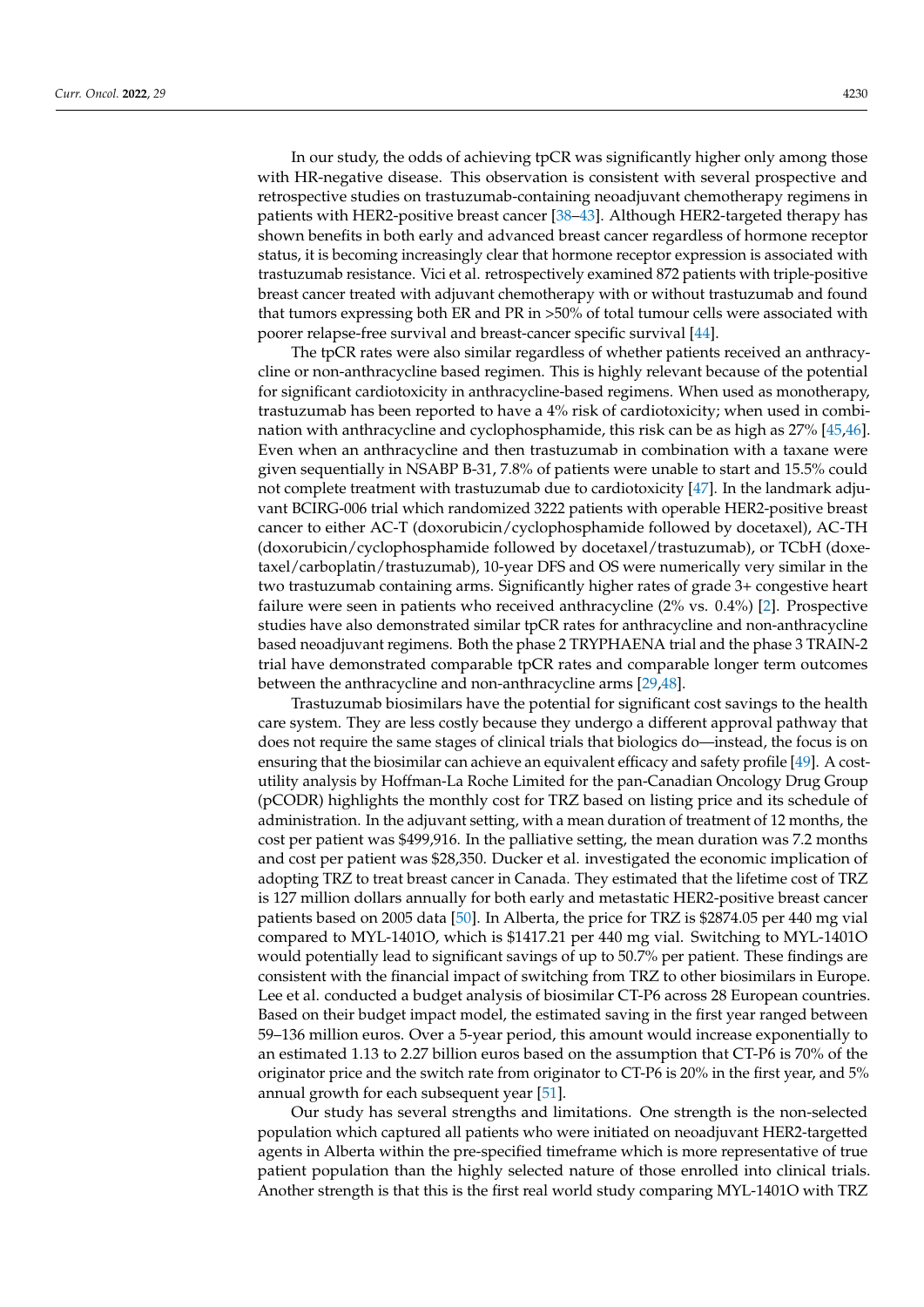In our study, the odds of achieving tpCR was significantly higher only among those with HR-negative disease. This observation is consistent with several prospective and retrospective studies on trastuzumab-containing neoadjuvant chemotherapy regimens in patients with HER2-positive breast cancer [\[38–](#page-9-7)[43\]](#page-9-8). Although HER2-targeted therapy has shown benefits in both early and advanced breast cancer regardless of hormone receptor status, it is becoming increasingly clear that hormone receptor expression is associated with trastuzumab resistance. Vici et al. retrospectively examined 872 patients with triple-positive breast cancer treated with adjuvant chemotherapy with or without trastuzumab and found that tumors expressing both ER and PR in >50% of total tumour cells were associated with poorer relapse-free survival and breast-cancer specific survival [\[44\]](#page-9-9).

The tpCR rates were also similar regardless of whether patients received an anthracycline or non-anthracycline based regimen. This is highly relevant because of the potential for significant cardiotoxicity in anthracycline-based regimens. When used as monotherapy, trastuzumab has been reported to have a 4% risk of cardiotoxicity; when used in combination with anthracycline and cyclophosphamide, this risk can be as high as 27% [\[45,](#page-9-10)[46\]](#page-9-11). Even when an anthracycline and then trastuzumab in combination with a taxane were given sequentially in NSABP B-31, 7.8% of patients were unable to start and 15.5% could not complete treatment with trastuzumab due to cardiotoxicity [\[47\]](#page-9-12). In the landmark adjuvant BCIRG-006 trial which randomized 3222 patients with operable HER2-positive breast cancer to either AC-T (doxorubicin/cyclophosphamide followed by docetaxel), AC-TH (doxorubicin/cyclophosphamide followed by docetaxel/trastuzumab), or TCbH (doxetaxel/carboplatin/trastuzumab), 10-year DFS and OS were numerically very similar in the two trastuzumab containing arms. Significantly higher rates of grade 3+ congestive heart failure were seen in patients who received anthracycline (2% vs. 0.4%) [\[2\]](#page-7-1). Prospective studies have also demonstrated similar tpCR rates for anthracycline and non-anthracycline based neoadjuvant regimens. Both the phase 2 TRYPHAENA trial and the phase 3 TRAIN-2 trial have demonstrated comparable tpCR rates and comparable longer term outcomes between the anthracycline and non-anthracycline arms [\[29](#page-8-14)[,48\]](#page-9-13).

Trastuzumab biosimilars have the potential for significant cost savings to the health care system. They are less costly because they undergo a different approval pathway that does not require the same stages of clinical trials that biologics do—instead, the focus is on ensuring that the biosimilar can achieve an equivalent efficacy and safety profile [\[49\]](#page-9-14). A costutility analysis by Hoffman-La Roche Limited for the pan-Canadian Oncology Drug Group (pCODR) highlights the monthly cost for TRZ based on listing price and its schedule of administration. In the adjuvant setting, with a mean duration of treatment of 12 months, the cost per patient was \$499,916. In the palliative setting, the mean duration was 7.2 months and cost per patient was \$28,350. Ducker et al. investigated the economic implication of adopting TRZ to treat breast cancer in Canada. They estimated that the lifetime cost of TRZ is 127 million dollars annually for both early and metastatic HER2-positive breast cancer patients based on 2005 data [\[50\]](#page-10-0). In Alberta, the price for TRZ is \$2874.05 per 440 mg vial compared to MYL-1401O, which is \$1417.21 per 440 mg vial. Switching to MYL-1401O would potentially lead to significant savings of up to 50.7% per patient. These findings are consistent with the financial impact of switching from TRZ to other biosimilars in Europe. Lee et al. conducted a budget analysis of biosimilar CT-P6 across 28 European countries. Based on their budget impact model, the estimated saving in the first year ranged between 59–136 million euros. Over a 5-year period, this amount would increase exponentially to an estimated 1.13 to 2.27 billion euros based on the assumption that CT-P6 is 70% of the originator price and the switch rate from originator to CT-P6 is 20% in the first year, and 5% annual growth for each subsequent year [\[51\]](#page-10-1).

Our study has several strengths and limitations. One strength is the non-selected population which captured all patients who were initiated on neoadjuvant HER2-targetted agents in Alberta within the pre-specified timeframe which is more representative of true patient population than the highly selected nature of those enrolled into clinical trials. Another strength is that this is the first real world study comparing MYL-1401O with TRZ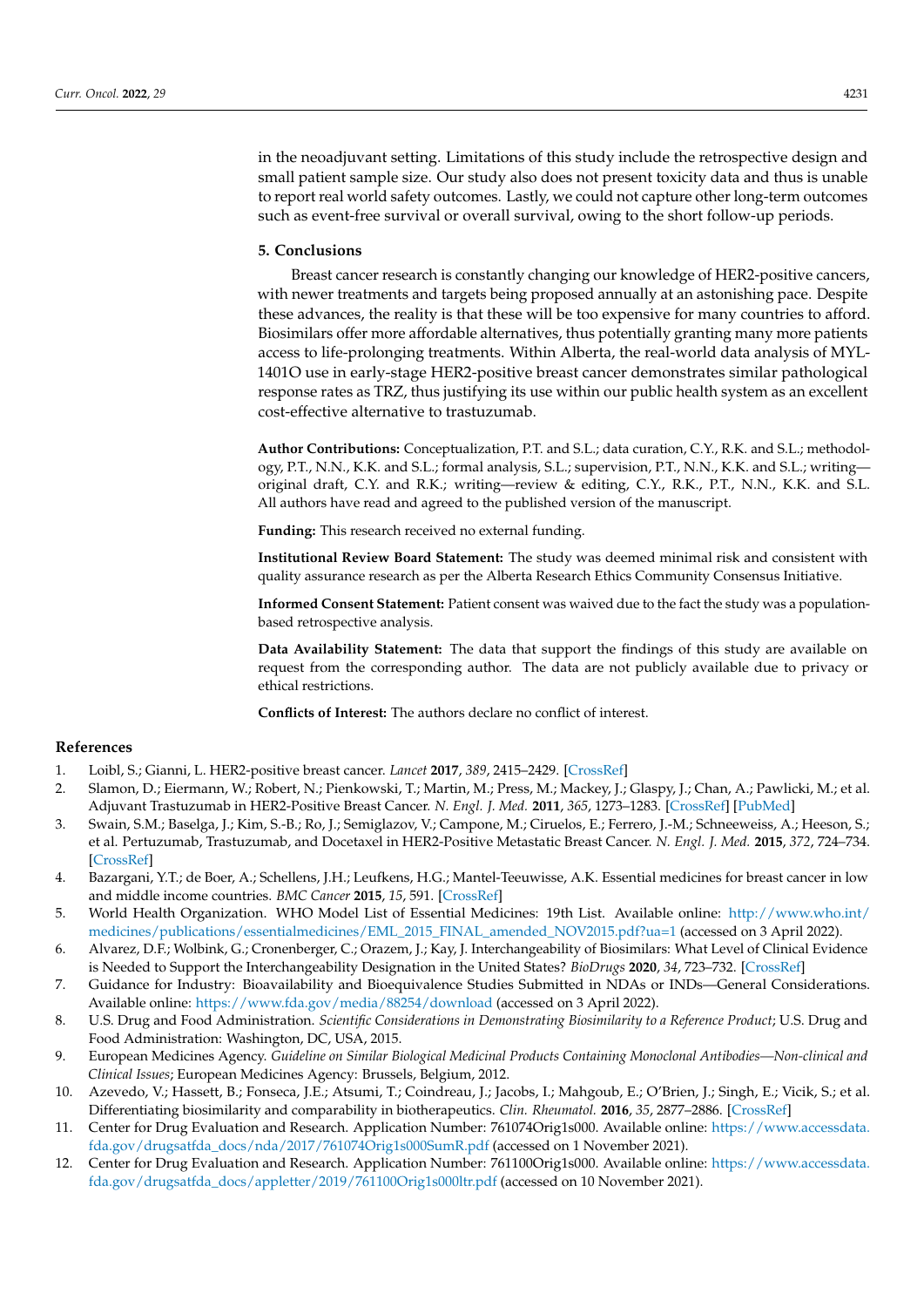in the neoadjuvant setting. Limitations of this study include the retrospective design and small patient sample size. Our study also does not present toxicity data and thus is unable to report real world safety outcomes. Lastly, we could not capture other long-term outcomes such as event-free survival or overall survival, owing to the short follow-up periods.

#### **5. Conclusions**

Breast cancer research is constantly changing our knowledge of HER2-positive cancers, with newer treatments and targets being proposed annually at an astonishing pace. Despite these advances, the reality is that these will be too expensive for many countries to afford. Biosimilars offer more affordable alternatives, thus potentially granting many more patients access to life-prolonging treatments. Within Alberta, the real-world data analysis of MYL-1401O use in early-stage HER2-positive breast cancer demonstrates similar pathological response rates as TRZ, thus justifying its use within our public health system as an excellent cost-effective alternative to trastuzumab.

**Author Contributions:** Conceptualization, P.T. and S.L.; data curation, C.Y., R.K. and S.L.; methodology, P.T., N.N., K.K. and S.L.; formal analysis, S.L.; supervision, P.T., N.N., K.K. and S.L.; writing original draft, C.Y. and R.K.; writing—review & editing, C.Y., R.K., P.T., N.N., K.K. and S.L. All authors have read and agreed to the published version of the manuscript.

**Funding:** This research received no external funding.

**Institutional Review Board Statement:** The study was deemed minimal risk and consistent with quality assurance research as per the Alberta Research Ethics Community Consensus Initiative.

**Informed Consent Statement:** Patient consent was waived due to the fact the study was a populationbased retrospective analysis.

**Data Availability Statement:** The data that support the findings of this study are available on request from the corresponding author. The data are not publicly available due to privacy or ethical restrictions.

**Conflicts of Interest:** The authors declare no conflict of interest.

### **References**

- <span id="page-7-0"></span>1. Loibl, S.; Gianni, L. HER2-positive breast cancer. *Lancet* **2017**, *389*, 2415–2429. [\[CrossRef\]](http://doi.org/10.1016/S0140-6736(16)32417-5)
- <span id="page-7-1"></span>2. Slamon, D.; Eiermann, W.; Robert, N.; Pienkowski, T.; Martin, M.; Press, M.; Mackey, J.; Glaspy, J.; Chan, A.; Pawlicki, M.; et al. Adjuvant Trastuzumab in HER2-Positive Breast Cancer. *N. Engl. J. Med.* **2011**, *365*, 1273–1283. [\[CrossRef\]](http://doi.org/10.1056/NEJMoa0910383) [\[PubMed\]](http://www.ncbi.nlm.nih.gov/pubmed/21991949)
- <span id="page-7-2"></span>3. Swain, S.M.; Baselga, J.; Kim, S.-B.; Ro, J.; Semiglazov, V.; Campone, M.; Ciruelos, E.; Ferrero, J.-M.; Schneeweiss, A.; Heeson, S.; et al. Pertuzumab, Trastuzumab, and Docetaxel in HER2-Positive Metastatic Breast Cancer. *N. Engl. J. Med.* **2015**, *372*, 724–734. [\[CrossRef\]](http://doi.org/10.1056/NEJMoa1413513)
- <span id="page-7-3"></span>4. Bazargani, Y.T.; de Boer, A.; Schellens, J.H.; Leufkens, H.G.; Mantel-Teeuwisse, A.K. Essential medicines for breast cancer in low and middle income countries. *BMC Cancer* **2015**, *15*, 591. [\[CrossRef\]](http://doi.org/10.1186/s12885-015-1583-4)
- <span id="page-7-4"></span>5. World Health Organization. WHO Model List of Essential Medicines: 19th List. Available online: [http://www.who.int/](http://www.who.int/medicines/publications/essentialmedicines/EML_2015_FINAL_amended_NOV2015.pdf?ua=1) [medicines/publications/essentialmedicines/EML\\_2015\\_FINAL\\_amended\\_NOV2015.pdf?ua=1](http://www.who.int/medicines/publications/essentialmedicines/EML_2015_FINAL_amended_NOV2015.pdf?ua=1) (accessed on 3 April 2022).
- <span id="page-7-5"></span>6. Alvarez, D.F.; Wolbink, G.; Cronenberger, C.; Orazem, J.; Kay, J. Interchangeability of Biosimilars: What Level of Clinical Evidence is Needed to Support the Interchangeability Designation in the United States? *BioDrugs* **2020**, *34*, 723–732. [\[CrossRef\]](http://doi.org/10.1007/s40259-020-00446-7)
- <span id="page-7-6"></span>7. Guidance for Industry: Bioavailability and Bioequivalence Studies Submitted in NDAs or INDs—General Considerations. Available online: <https://www.fda.gov/media/88254/download> (accessed on 3 April 2022).
- <span id="page-7-7"></span>8. U.S. Drug and Food Administration. *Scientific Considerations in Demonstrating Biosimilarity to a Reference Product*; U.S. Drug and Food Administration: Washington, DC, USA, 2015.
- <span id="page-7-8"></span>9. European Medicines Agency. *Guideline on Similar Biological Medicinal Products Containing Monoclonal Antibodies—Non-clinical and Clinical Issues*; European Medicines Agency: Brussels, Belgium, 2012.
- <span id="page-7-9"></span>10. Azevedo, V.; Hassett, B.; Fonseca, J.E.; Atsumi, T.; Coindreau, J.; Jacobs, I.; Mahgoub, E.; O'Brien, J.; Singh, E.; Vicik, S.; et al. Differentiating biosimilarity and comparability in biotherapeutics. *Clin. Rheumatol.* **2016**, *35*, 2877–2886. [\[CrossRef\]](http://doi.org/10.1007/s10067-016-3427-2)
- <span id="page-7-10"></span>11. Center for Drug Evaluation and Research. Application Number: 761074Orig1s000. Available online: [https://www.accessdata.](https://www.accessdata.fda.gov/drugsatfda_docs/nda/2017/761074Orig1s000SumR.pdf) [fda.gov/drugsatfda\\_docs/nda/2017/761074Orig1s000SumR.pdf](https://www.accessdata.fda.gov/drugsatfda_docs/nda/2017/761074Orig1s000SumR.pdf) (accessed on 1 November 2021).
- 12. Center for Drug Evaluation and Research. Application Number: 761100Orig1s000. Available online: [https://www.accessdata.](https://www.accessdata.fda.gov/drugsatfda_docs/appletter/2019/761100Orig1s000ltr.pdf) [fda.gov/drugsatfda\\_docs/appletter/2019/761100Orig1s000ltr.pdf](https://www.accessdata.fda.gov/drugsatfda_docs/appletter/2019/761100Orig1s000ltr.pdf) (accessed on 10 November 2021).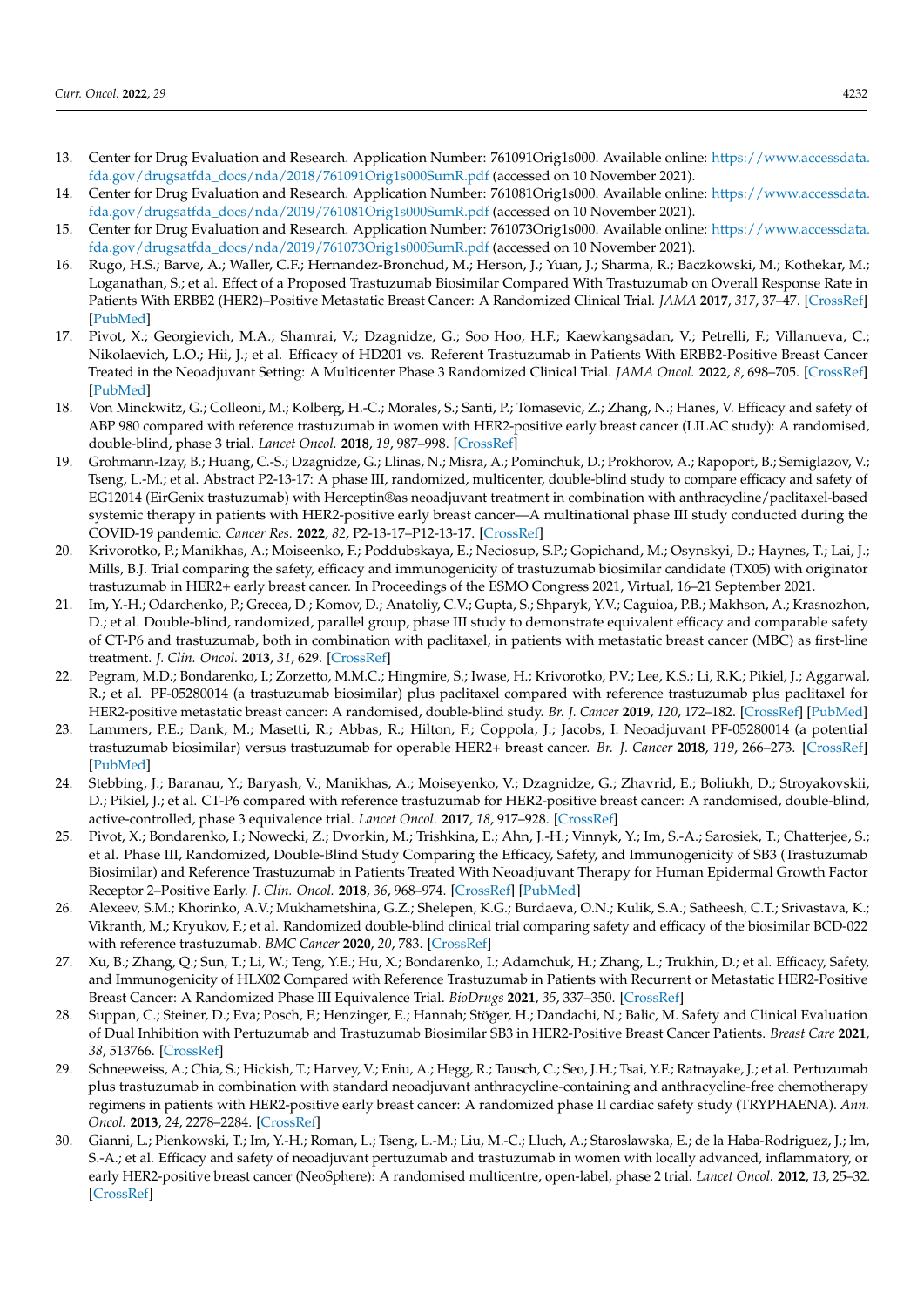- 13. Center for Drug Evaluation and Research. Application Number: 761091Orig1s000. Available online: [https://www.accessdata.](https://www.accessdata.fda.gov/drugsatfda_docs/nda/2018/761091Orig1s000SumR.pdf) [fda.gov/drugsatfda\\_docs/nda/2018/761091Orig1s000SumR.pdf](https://www.accessdata.fda.gov/drugsatfda_docs/nda/2018/761091Orig1s000SumR.pdf) (accessed on 10 November 2021).
- 14. Center for Drug Evaluation and Research. Application Number: 761081Orig1s000. Available online: [https://www.accessdata.](https://www.accessdata.fda.gov/drugsatfda_docs/nda/2019/761081Orig1s000SumR.pdf) [fda.gov/drugsatfda\\_docs/nda/2019/761081Orig1s000SumR.pdf](https://www.accessdata.fda.gov/drugsatfda_docs/nda/2019/761081Orig1s000SumR.pdf) (accessed on 10 November 2021).
- <span id="page-8-0"></span>15. Center for Drug Evaluation and Research. Application Number: 761073Orig1s000. Available online: [https://www.accessdata.](https://www.accessdata.fda.gov/drugsatfda_docs/nda/2019/761073Orig1s000SumR.pdf) [fda.gov/drugsatfda\\_docs/nda/2019/761073Orig1s000SumR.pdf](https://www.accessdata.fda.gov/drugsatfda_docs/nda/2019/761073Orig1s000SumR.pdf) (accessed on 10 November 2021).
- <span id="page-8-1"></span>16. Rugo, H.S.; Barve, A.; Waller, C.F.; Hernandez-Bronchud, M.; Herson, J.; Yuan, J.; Sharma, R.; Baczkowski, M.; Kothekar, M.; Loganathan, S.; et al. Effect of a Proposed Trastuzumab Biosimilar Compared With Trastuzumab on Overall Response Rate in Patients With ERBB2 (HER2)–Positive Metastatic Breast Cancer: A Randomized Clinical Trial. *JAMA* **2017**, *317*, 37–47. [\[CrossRef\]](http://doi.org/10.1001/jama.2016.18305) [\[PubMed\]](http://www.ncbi.nlm.nih.gov/pubmed/27918780)
- <span id="page-8-11"></span>17. Pivot, X.; Georgievich, M.A.; Shamrai, V.; Dzagnidze, G.; Soo Hoo, H.F.; Kaewkangsadan, V.; Petrelli, F.; Villanueva, C.; Nikolaevich, L.O.; Hii, J.; et al. Efficacy of HD201 vs. Referent Trastuzumab in Patients With ERBB2-Positive Breast Cancer Treated in the Neoadjuvant Setting: A Multicenter Phase 3 Randomized Clinical Trial. *JAMA Oncol.* **2022**, *8*, 698–705. [\[CrossRef\]](http://doi.org/10.1001/jamaoncol.2021.8171) [\[PubMed\]](http://www.ncbi.nlm.nih.gov/pubmed/35238873)
- <span id="page-8-6"></span>18. Von Minckwitz, G.; Colleoni, M.; Kolberg, H.-C.; Morales, S.; Santi, P.; Tomasevic, Z.; Zhang, N.; Hanes, V. Efficacy and safety of ABP 980 compared with reference trastuzumab in women with HER2-positive early breast cancer (LILAC study): A randomised, double-blind, phase 3 trial. *Lancet Oncol.* **2018**, *19*, 987–998. [\[CrossRef\]](http://doi.org/10.1016/S1470-2045(18)30241-9)
- <span id="page-8-9"></span>19. Grohmann-Izay, B.; Huang, C.-S.; Dzagnidze, G.; Llinas, N.; Misra, A.; Pominchuk, D.; Prokhorov, A.; Rapoport, B.; Semiglazov, V.; Tseng, L.-M.; et al. Abstract P2-13-17: A phase III, randomized, multicenter, double-blind study to compare efficacy and safety of EG12014 (EirGenix trastuzumab) with Herceptin®as neoadjuvant treatment in combination with anthracycline/paclitaxel-based systemic therapy in patients with HER2-positive early breast cancer—A multinational phase III study conducted during the COVID-19 pandemic. *Cancer Res.* **2022**, *82*, P2-13-17–P12-13-17. [\[CrossRef\]](http://doi.org/10.1158/1538-7445.SABCS21-P2-13-17)
- <span id="page-8-2"></span>20. Krivorotko, P.; Manikhas, A.; Moiseenko, F.; Poddubskaya, E.; Neciosup, S.P.; Gopichand, M.; Osynskyi, D.; Haynes, T.; Lai, J.; Mills, B.J. Trial comparing the safety, efficacy and immunogenicity of trastuzumab biosimilar candidate (TX05) with originator trastuzumab in HER2+ early breast cancer. In Proceedings of the ESMO Congress 2021, Virtual, 16–21 September 2021.
- <span id="page-8-3"></span>21. Im, Y.-H.; Odarchenko, P.; Grecea, D.; Komov, D.; Anatoliy, C.V.; Gupta, S.; Shparyk, Y.V.; Caguioa, P.B.; Makhson, A.; Krasnozhon, D.; et al. Double-blind, randomized, parallel group, phase III study to demonstrate equivalent efficacy and comparable safety of CT-P6 and trastuzumab, both in combination with paclitaxel, in patients with metastatic breast cancer (MBC) as first-line treatment. *J. Clin. Oncol.* **2013**, *31*, 629. [\[CrossRef\]](http://doi.org/10.1200/jco.2013.31.15_suppl.629)
- <span id="page-8-7"></span>22. Pegram, M.D.; Bondarenko, I.; Zorzetto, M.M.C.; Hingmire, S.; Iwase, H.; Krivorotko, P.V.; Lee, K.S.; Li, R.K.; Pikiel, J.; Aggarwal, R.; et al. PF-05280014 (a trastuzumab biosimilar) plus paclitaxel compared with reference trastuzumab plus paclitaxel for HER2-positive metastatic breast cancer: A randomised, double-blind study. *Br. J. Cancer* **2019**, *120*, 172–182. [\[CrossRef\]](http://doi.org/10.1038/s41416-018-0340-2) [\[PubMed\]](http://www.ncbi.nlm.nih.gov/pubmed/30568294)
- 23. Lammers, P.E.; Dank, M.; Masetti, R.; Abbas, R.; Hilton, F.; Coppola, J.; Jacobs, I. Neoadjuvant PF-05280014 (a potential trastuzumab biosimilar) versus trastuzumab for operable HER2+ breast cancer. *Br. J. Cancer* **2018**, *119*, 266–273. [\[CrossRef\]](http://doi.org/10.1038/s41416-018-0147-1) [\[PubMed\]](http://www.ncbi.nlm.nih.gov/pubmed/30002437)
- <span id="page-8-4"></span>24. Stebbing, J.; Baranau, Y.; Baryash, V.; Manikhas, A.; Moiseyenko, V.; Dzagnidze, G.; Zhavrid, E.; Boliukh, D.; Stroyakovskii, D.; Pikiel, J.; et al. CT-P6 compared with reference trastuzumab for HER2-positive breast cancer: A randomised, double-blind, active-controlled, phase 3 equivalence trial. *Lancet Oncol.* **2017**, *18*, 917–928. [\[CrossRef\]](http://doi.org/10.1016/S1470-2045(17)30434-5)
- <span id="page-8-5"></span>25. Pivot, X.; Bondarenko, I.; Nowecki, Z.; Dvorkin, M.; Trishkina, E.; Ahn, J.-H.; Vinnyk, Y.; Im, S.-A.; Sarosiek, T.; Chatterjee, S.; et al. Phase III, Randomized, Double-Blind Study Comparing the Efficacy, Safety, and Immunogenicity of SB3 (Trastuzumab Biosimilar) and Reference Trastuzumab in Patients Treated With Neoadjuvant Therapy for Human Epidermal Growth Factor Receptor 2–Positive Early. *J. Clin. Oncol.* **2018**, *36*, 968–974. [\[CrossRef\]](http://doi.org/10.1200/JCO.2017.74.0126) [\[PubMed\]](http://www.ncbi.nlm.nih.gov/pubmed/29373094)
- <span id="page-8-8"></span>26. Alexeev, S.M.; Khorinko, A.V.; Mukhametshina, G.Z.; Shelepen, K.G.; Burdaeva, O.N.; Kulik, S.A.; Satheesh, C.T.; Srivastava, K.; Vikranth, M.; Kryukov, F.; et al. Randomized double-blind clinical trial comparing safety and efficacy of the biosimilar BCD-022 with reference trastuzumab. *BMC Cancer* **2020**, *20*, 783. [\[CrossRef\]](http://doi.org/10.1186/s12885-020-07247-9)
- <span id="page-8-10"></span>27. Xu, B.; Zhang, Q.; Sun, T.; Li, W.; Teng, Y.E.; Hu, X.; Bondarenko, I.; Adamchuk, H.; Zhang, L.; Trukhin, D.; et al. Efficacy, Safety, and Immunogenicity of HLX02 Compared with Reference Trastuzumab in Patients with Recurrent or Metastatic HER2-Positive Breast Cancer: A Randomized Phase III Equivalence Trial. *BioDrugs* **2021**, *35*, 337–350. [\[CrossRef\]](http://doi.org/10.1007/s40259-021-00475-w)
- <span id="page-8-12"></span>28. Suppan, C.; Steiner, D.; Eva; Posch, F.; Henzinger, E.; Hannah; Stöger, H.; Dandachi, N.; Balic, M. Safety and Clinical Evaluation of Dual Inhibition with Pertuzumab and Trastuzumab Biosimilar SB3 in HER2-Positive Breast Cancer Patients. *Breast Care* **2021**, *38*, 513766. [\[CrossRef\]](http://doi.org/10.1159/000513766)
- <span id="page-8-14"></span>29. Schneeweiss, A.; Chia, S.; Hickish, T.; Harvey, V.; Eniu, A.; Hegg, R.; Tausch, C.; Seo, J.H.; Tsai, Y.F.; Ratnayake, J.; et al. Pertuzumab plus trastuzumab in combination with standard neoadjuvant anthracycline-containing and anthracycline-free chemotherapy regimens in patients with HER2-positive early breast cancer: A randomized phase II cardiac safety study (TRYPHAENA). *Ann. Oncol.* **2013**, *24*, 2278–2284. [\[CrossRef\]](http://doi.org/10.1093/annonc/mdt182)
- <span id="page-8-13"></span>Gianni, L.; Pienkowski, T.; Im, Y.-H.; Roman, L.; Tseng, L.-M.; Liu, M.-C.; Lluch, A.; Staroslawska, E.; de la Haba-Rodriguez, J.; Im, S.-A.; et al. Efficacy and safety of neoadjuvant pertuzumab and trastuzumab in women with locally advanced, inflammatory, or early HER2-positive breast cancer (NeoSphere): A randomised multicentre, open-label, phase 2 trial. *Lancet Oncol.* **2012**, *13*, 25–32. [\[CrossRef\]](http://doi.org/10.1016/S1470-2045(11)70336-9)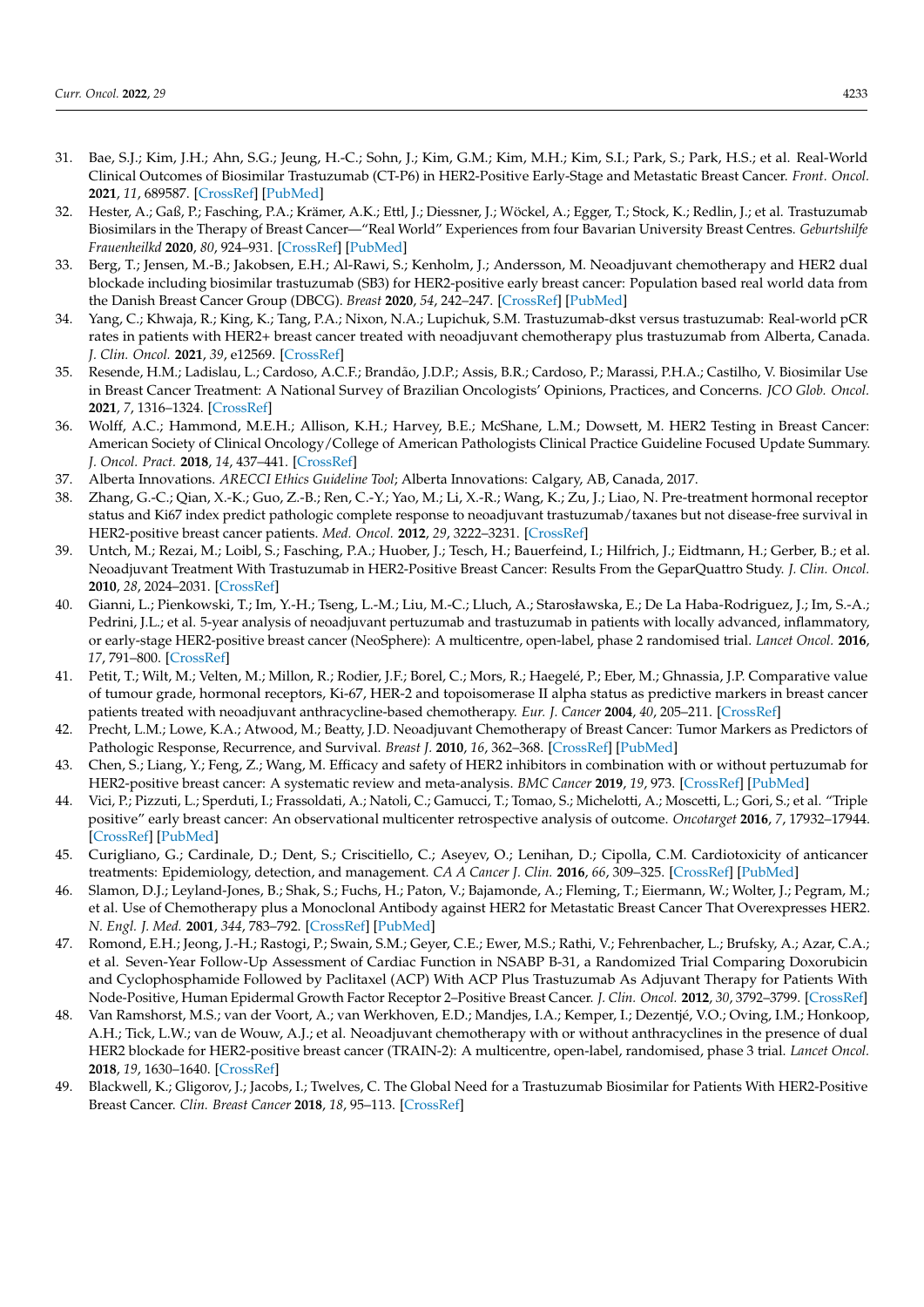- <span id="page-9-0"></span>31. Bae, S.J.; Kim, J.H.; Ahn, S.G.; Jeung, H.-C.; Sohn, J.; Kim, G.M.; Kim, M.H.; Kim, S.I.; Park, S.; Park, H.S.; et al. Real-World Clinical Outcomes of Biosimilar Trastuzumab (CT-P6) in HER2-Positive Early-Stage and Metastatic Breast Cancer. *Front. Oncol.* **2021**, *11*, 689587. [\[CrossRef\]](http://doi.org/10.3389/fonc.2021.689587) [\[PubMed\]](http://www.ncbi.nlm.nih.gov/pubmed/34150658)
- <span id="page-9-1"></span>32. Hester, A.; Gaß, P.; Fasching, P.A.; Krämer, A.K.; Ettl, J.; Diessner, J.; Wöckel, A.; Egger, T.; Stock, K.; Redlin, J.; et al. Trastuzumab Biosimilars in the Therapy of Breast Cancer—"Real World" Experiences from four Bavarian University Breast Centres. *Geburtshilfe Frauenheilkd* **2020**, *80*, 924–931. [\[CrossRef\]](http://doi.org/10.1055/a-1226-6666) [\[PubMed\]](http://www.ncbi.nlm.nih.gov/pubmed/32905322)
- <span id="page-9-2"></span>33. Berg, T.; Jensen, M.-B.; Jakobsen, E.H.; Al-Rawi, S.; Kenholm, J.; Andersson, M. Neoadjuvant chemotherapy and HER2 dual blockade including biosimilar trastuzumab (SB3) for HER2-positive early breast cancer: Population based real world data from the Danish Breast Cancer Group (DBCG). *Breast* **2020**, *54*, 242–247. [\[CrossRef\]](http://doi.org/10.1016/j.breast.2020.10.014) [\[PubMed\]](http://www.ncbi.nlm.nih.gov/pubmed/33186804)
- <span id="page-9-3"></span>34. Yang, C.; Khwaja, R.; King, K.; Tang, P.A.; Nixon, N.A.; Lupichuk, S.M. Trastuzumab-dkst versus trastuzumab: Real-world pCR rates in patients with HER2+ breast cancer treated with neoadjuvant chemotherapy plus trastuzumab from Alberta, Canada. *J. Clin. Oncol.* **2021**, *39*, e12569. [\[CrossRef\]](http://doi.org/10.1200/JCO.2021.39.15_suppl.e12569)
- <span id="page-9-4"></span>35. Resende, H.M.; Ladislau, L.; Cardoso, A.C.F.; Brandão, J.D.P.; Assis, B.R.; Cardoso, P.; Marassi, P.H.A.; Castilho, V. Biosimilar Use in Breast Cancer Treatment: A National Survey of Brazilian Oncologists' Opinions, Practices, and Concerns. *JCO Glob. Oncol.* **2021**, *7*, 1316–1324. [\[CrossRef\]](http://doi.org/10.1200/GO.20.00649)
- <span id="page-9-5"></span>36. Wolff, A.C.; Hammond, M.E.H.; Allison, K.H.; Harvey, B.E.; McShane, L.M.; Dowsett, M. HER2 Testing in Breast Cancer: American Society of Clinical Oncology/College of American Pathologists Clinical Practice Guideline Focused Update Summary. *J. Oncol. Pract.* **2018**, *14*, 437–441. [\[CrossRef\]](http://doi.org/10.1200/JOP.18.00206)
- <span id="page-9-6"></span>37. Alberta Innovations. *ARECCI Ethics Guideline Tool*; Alberta Innovations: Calgary, AB, Canada, 2017.
- <span id="page-9-7"></span>38. Zhang, G.-C.; Qian, X.-K.; Guo, Z.-B.; Ren, C.-Y.; Yao, M.; Li, X.-R.; Wang, K.; Zu, J.; Liao, N. Pre-treatment hormonal receptor status and Ki67 index predict pathologic complete response to neoadjuvant trastuzumab/taxanes but not disease-free survival in HER2-positive breast cancer patients. *Med. Oncol.* **2012**, *29*, 3222–3231. [\[CrossRef\]](http://doi.org/10.1007/s12032-012-0242-8)
- 39. Untch, M.; Rezai, M.; Loibl, S.; Fasching, P.A.; Huober, J.; Tesch, H.; Bauerfeind, I.; Hilfrich, J.; Eidtmann, H.; Gerber, B.; et al. Neoadjuvant Treatment With Trastuzumab in HER2-Positive Breast Cancer: Results From the GeparQuattro Study. *J. Clin. Oncol.* **2010**, *28*, 2024–2031. [\[CrossRef\]](http://doi.org/10.1200/JCO.2009.23.8451)
- 40. Gianni, L.; Pienkowski, T.; Im, Y.-H.; Tseng, L.-M.; Liu, M.-C.; Lluch, A.; Starosławska, E.; De La Haba-Rodriguez, J.; Im, S.-A.; Pedrini, J.L.; et al. 5-year analysis of neoadjuvant pertuzumab and trastuzumab in patients with locally advanced, inflammatory, or early-stage HER2-positive breast cancer (NeoSphere): A multicentre, open-label, phase 2 randomised trial. *Lancet Oncol.* **2016**, *17*, 791–800. [\[CrossRef\]](http://doi.org/10.1016/S1470-2045(16)00163-7)
- 41. Petit, T.; Wilt, M.; Velten, M.; Millon, R.; Rodier, J.F.; Borel, C.; Mors, R.; Haegelé, P.; Eber, M.; Ghnassia, J.P. Comparative value of tumour grade, hormonal receptors, Ki-67, HER-2 and topoisomerase II alpha status as predictive markers in breast cancer patients treated with neoadjuvant anthracycline-based chemotherapy. *Eur. J. Cancer* **2004**, *40*, 205–211. [\[CrossRef\]](http://doi.org/10.1016/S0959-8049(03)00675-0)
- 42. Precht, L.M.; Lowe, K.A.; Atwood, M.; Beatty, J.D. Neoadjuvant Chemotherapy of Breast Cancer: Tumor Markers as Predictors of Pathologic Response, Recurrence, and Survival. *Breast J.* **2010**, *16*, 362–368. [\[CrossRef\]](http://doi.org/10.1111/j.1524-4741.2010.00935.x) [\[PubMed\]](http://www.ncbi.nlm.nih.gov/pubmed/20443786)
- <span id="page-9-8"></span>43. Chen, S.; Liang, Y.; Feng, Z.; Wang, M. Efficacy and safety of HER2 inhibitors in combination with or without pertuzumab for HER2-positive breast cancer: A systematic review and meta-analysis. *BMC Cancer* **2019**, *19*, 973. [\[CrossRef\]](http://doi.org/10.1186/s12885-019-6132-0) [\[PubMed\]](http://www.ncbi.nlm.nih.gov/pubmed/31638935)
- <span id="page-9-9"></span>44. Vici, P.; Pizzuti, L.; Sperduti, I.; Frassoldati, A.; Natoli, C.; Gamucci, T.; Tomao, S.; Michelotti, A.; Moscetti, L.; Gori, S.; et al. "Triple positive" early breast cancer: An observational multicenter retrospective analysis of outcome. *Oncotarget* **2016**, *7*, 17932–17944. [\[CrossRef\]](http://doi.org/10.18632/oncotarget.7480) [\[PubMed\]](http://www.ncbi.nlm.nih.gov/pubmed/26910921)
- <span id="page-9-10"></span>45. Curigliano, G.; Cardinale, D.; Dent, S.; Criscitiello, C.; Aseyev, O.; Lenihan, D.; Cipolla, C.M. Cardiotoxicity of anticancer treatments: Epidemiology, detection, and management. *CA A Cancer J. Clin.* **2016**, *66*, 309–325. [\[CrossRef\]](http://doi.org/10.3322/caac.21341) [\[PubMed\]](http://www.ncbi.nlm.nih.gov/pubmed/26919165)
- <span id="page-9-11"></span>46. Slamon, D.J.; Leyland-Jones, B.; Shak, S.; Fuchs, H.; Paton, V.; Bajamonde, A.; Fleming, T.; Eiermann, W.; Wolter, J.; Pegram, M.; et al. Use of Chemotherapy plus a Monoclonal Antibody against HER2 for Metastatic Breast Cancer That Overexpresses HER2. *N. Engl. J. Med.* **2001**, *344*, 783–792. [\[CrossRef\]](http://doi.org/10.1056/NEJM200103153441101) [\[PubMed\]](http://www.ncbi.nlm.nih.gov/pubmed/11248153)
- <span id="page-9-12"></span>47. Romond, E.H.; Jeong, J.-H.; Rastogi, P.; Swain, S.M.; Geyer, C.E.; Ewer, M.S.; Rathi, V.; Fehrenbacher, L.; Brufsky, A.; Azar, C.A.; et al. Seven-Year Follow-Up Assessment of Cardiac Function in NSABP B-31, a Randomized Trial Comparing Doxorubicin and Cyclophosphamide Followed by Paclitaxel (ACP) With ACP Plus Trastuzumab As Adjuvant Therapy for Patients With Node-Positive, Human Epidermal Growth Factor Receptor 2–Positive Breast Cancer. *J. Clin. Oncol.* **2012**, *30*, 3792–3799. [\[CrossRef\]](http://doi.org/10.1200/jco.2011.40.0010)
- <span id="page-9-13"></span>48. Van Ramshorst, M.S.; van der Voort, A.; van Werkhoven, E.D.; Mandjes, I.A.; Kemper, I.; Dezentjé, V.O.; Oving, I.M.; Honkoop, A.H.; Tick, L.W.; van de Wouw, A.J.; et al. Neoadjuvant chemotherapy with or without anthracyclines in the presence of dual HER2 blockade for HER2-positive breast cancer (TRAIN-2): A multicentre, open-label, randomised, phase 3 trial. *Lancet Oncol.* **2018**, *19*, 1630–1640. [\[CrossRef\]](http://doi.org/10.1016/S1470-2045(18)30570-9)
- <span id="page-9-14"></span>49. Blackwell, K.; Gligorov, J.; Jacobs, I.; Twelves, C. The Global Need for a Trastuzumab Biosimilar for Patients With HER2-Positive Breast Cancer. *Clin. Breast Cancer* **2018**, *18*, 95–113. [\[CrossRef\]](http://doi.org/10.1016/j.clbc.2018.01.006)